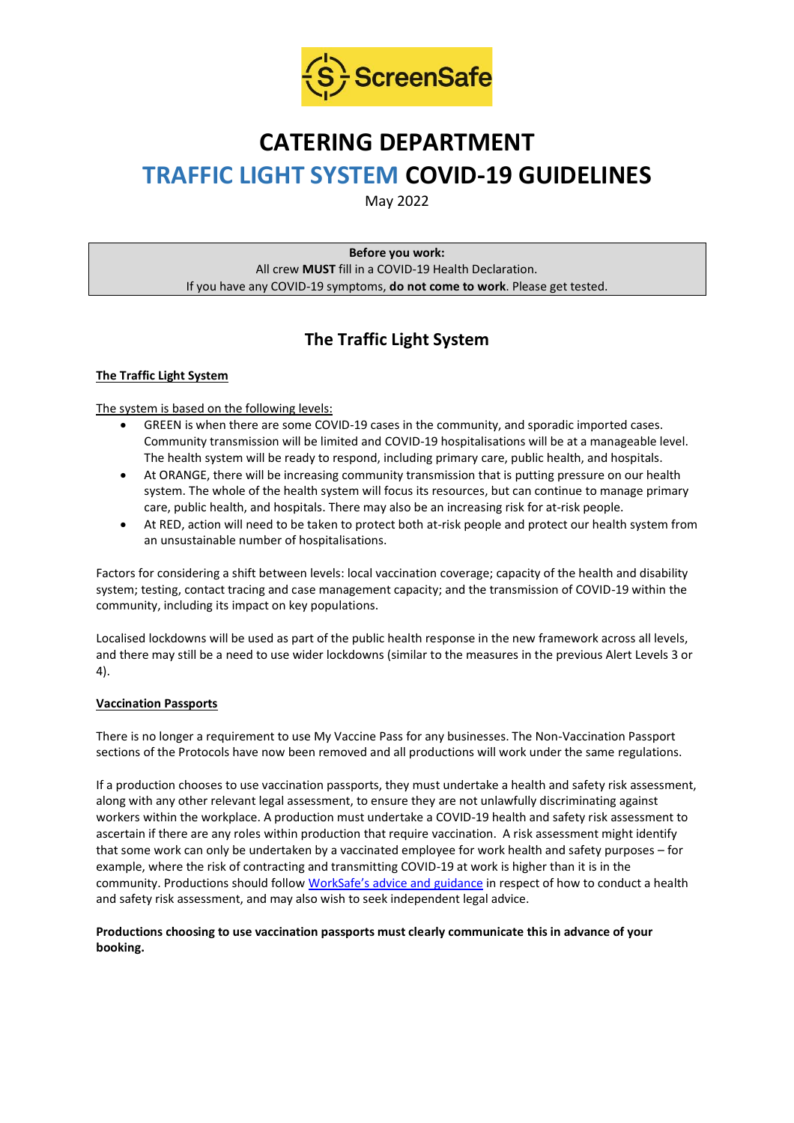

# **CATERING DEPARTMENT TRAFFIC LIGHT SYSTEM COVID-19 GUIDELINES**

May 2022

**Before you work:** All crew **MUST** fill in a COVID-19 Health Declaration. If you have any COVID-19 symptoms, **do not come to work**. Please get tested.

## **The Traffic Light System**

#### **The Traffic Light System**

The system is based on the following levels:

- GREEN is when there are some COVID-19 cases in the community, and sporadic imported cases. Community transmission will be limited and COVID-19 hospitalisations will be at a manageable level. The health system will be ready to respond, including primary care, public health, and hospitals.
- At ORANGE, there will be increasing community transmission that is putting pressure on our health system. The whole of the health system will focus its resources, but can continue to manage primary care, public health, and hospitals. There may also be an increasing risk for at-risk people.
- At RED, action will need to be taken to protect both at-risk people and protect our health system from an unsustainable number of hospitalisations.

Factors for considering a shift between levels: local vaccination coverage; capacity of the health and disability system; testing, contact tracing and case management capacity; and the transmission of COVID-19 within the community, including its impact on key populations.

Localised lockdowns will be used as part of the public health response in the new framework across all levels, and there may still be a need to use wider lockdowns (similar to the measures in the previous Alert Levels 3 or 4).

#### **Vaccination Passports**

There is no longer a requirement to use My Vaccine Pass for any businesses. The Non-Vaccination Passport sections of the Protocols have now been removed and all productions will work under the same regulations.

If a production chooses to use vaccination passports, they must undertake a health and safety risk assessment, along with any other relevant legal assessment, to ensure they are not unlawfully discriminating against workers within the workplace. A production must undertake a COVID-19 health and safety risk assessment to ascertain if there are any roles within production that require vaccination. A risk assessment might identify that some work can only be undertaken by a vaccinated employee for work health and safety purposes – for example, where the risk of contracting and transmitting COVID-19 at work is higher than it is in the community. Productions should follow [WorkSafe's advice and guidance](https://www.worksafe.govt.nz/managing-health-and-safety/novel-coronavirus-covid/covid-19-controls-at-work/) in respect of how to conduct a health and safety risk assessment, and may also wish to seek independent legal advice.

**Productions choosing to use vaccination passports must clearly communicate this in advance of your booking.**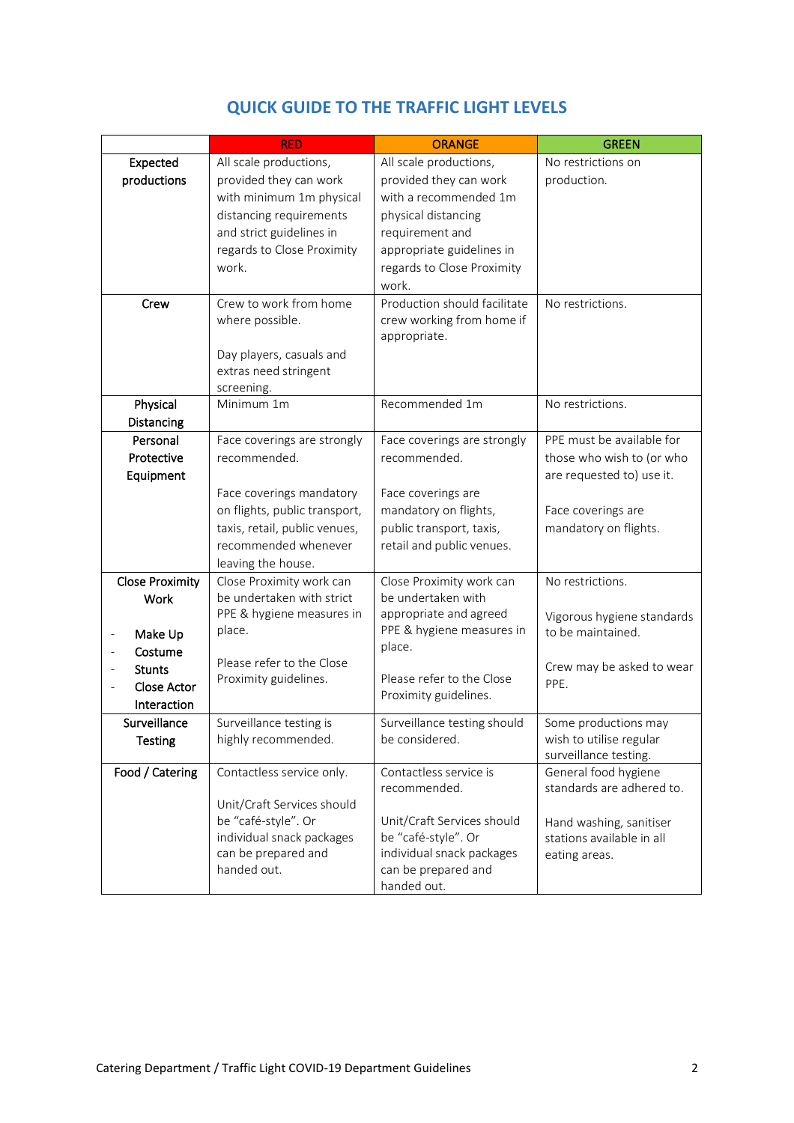|                                         | <b>RED</b>                    | <b>ORANGE</b>                | <b>GREEN</b>               |
|-----------------------------------------|-------------------------------|------------------------------|----------------------------|
| Expected                                | All scale productions,        | All scale productions,       | No restrictions on         |
| productions                             | provided they can work        | provided they can work       | production.                |
|                                         | with minimum 1m physical      | with a recommended 1m        |                            |
|                                         | distancing requirements       | physical distancing          |                            |
|                                         | and strict guidelines in      | requirement and              |                            |
|                                         | regards to Close Proximity    | appropriate guidelines in    |                            |
|                                         | work.                         | regards to Close Proximity   |                            |
|                                         |                               | work.                        |                            |
| Crew                                    | Crew to work from home        | Production should facilitate | No restrictions.           |
|                                         | where possible.               | crew working from home if    |                            |
|                                         |                               | appropriate.                 |                            |
|                                         | Day players, casuals and      |                              |                            |
|                                         | extras need stringent         |                              |                            |
|                                         | screening.                    |                              |                            |
| Physical                                | Minimum 1m                    | Recommended 1m               | No restrictions.           |
| Distancing                              |                               |                              |                            |
| Personal                                | Face coverings are strongly   | Face coverings are strongly  | PPE must be available for  |
| Protective                              | recommended.                  | recommended.                 | those who wish to (or who  |
| Equipment                               |                               |                              | are requested to) use it.  |
|                                         | Face coverings mandatory      | Face coverings are           |                            |
|                                         | on flights, public transport, | mandatory on flights,        | Face coverings are         |
|                                         | taxis, retail, public venues, | public transport, taxis,     | mandatory on flights.      |
|                                         | recommended whenever          | retail and public venues.    |                            |
|                                         | leaving the house.            |                              |                            |
| <b>Close Proximity</b>                  | Close Proximity work can      | Close Proximity work can     | No restrictions.           |
| <b>Work</b>                             | be undertaken with strict     | be undertaken with           |                            |
|                                         | PPE & hygiene measures in     | appropriate and agreed       | Vigorous hygiene standards |
| Make Up<br>$\qquad \qquad \blacksquare$ | place.                        | PPE & hygiene measures in    | to be maintained.          |
| Costume                                 |                               | place.                       |                            |
| <b>Stunts</b>                           | Please refer to the Close     |                              | Crew may be asked to wear  |
| <b>Close Actor</b>                      | Proximity guidelines.         | Please refer to the Close    | PPE.                       |
| Interaction                             |                               | Proximity guidelines.        |                            |
| Surveillance                            | Surveillance testing is       | Surveillance testing should  | Some productions may       |
| <b>Testing</b>                          | highly recommended.           | be considered.               | wish to utilise regular    |
|                                         |                               |                              | surveillance testing.      |
| Food / Catering                         | Contactless service only.     | Contactless service is       | General food hygiene       |
|                                         |                               | recommended.                 | standards are adhered to.  |
|                                         | Unit/Craft Services should    |                              |                            |
|                                         | be "café-style". Or           | Unit/Craft Services should   | Hand washing, sanitiser    |
|                                         | individual snack packages     | be "café-style". Or          | stations available in all  |
|                                         | can be prepared and           | individual snack packages    | eating areas.              |
|                                         | handed out.                   | can be prepared and          |                            |
|                                         |                               | handed out.                  |                            |

### **QUICK GUIDE TO THE TRAFFIC LIGHT LEVELS**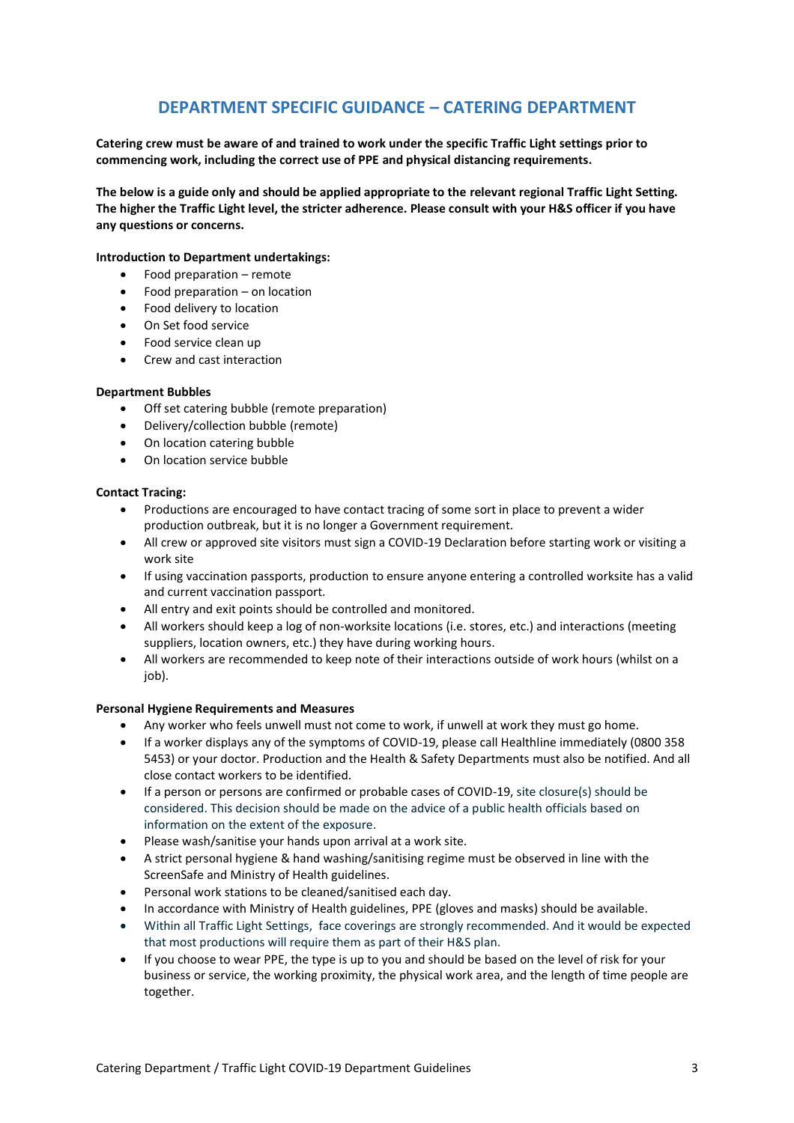### **DEPARTMENT SPECIFIC GUIDANCE – CATERING DEPARTMENT**

**Catering crew must be aware of and trained to work under the specific Traffic Light settings prior to commencing work, including the correct use of PPE and physical distancing requirements.**

**The below is a guide only and should be applied appropriate to the relevant regional Traffic Light Setting. The higher the Traffic Light level, the stricter adherence. Please consult with your H&S officer if you have any questions or concerns.**

#### **Introduction to Department undertakings:**

- Food preparation remote
- Food preparation  $-$  on location
- Food delivery to location
- On Set food service
- Food service clean up
- Crew and cast interaction

#### **Department Bubbles**

- Off set catering bubble (remote preparation)
- Delivery/collection bubble (remote)
- On location catering bubble
- On location service bubble

#### **Contact Tracing:**

- Productions are encouraged to have contact tracing of some sort in place to prevent a wider production outbreak, but it is no longer a Government requirement.
- All crew or approved site visitors must sign a COVID-19 Declaration before starting work or visiting a work site
- If using vaccination passports, production to ensure anyone entering a controlled worksite has a valid and current vaccination passport.
- All entry and exit points should be controlled and monitored.
- All workers should keep a log of non-worksite locations (i.e. stores, etc.) and interactions (meeting suppliers, location owners, etc.) they have during working hours.
- All workers are recommended to keep note of their interactions outside of work hours (whilst on a job).

#### **Personal Hygiene Requirements and Measures**

- Any worker who feels unwell must not come to work, if unwell at work they must go home.
- If a worker displays any of the symptoms of COVID-19, please call Healthline immediately (0800 358 5453) or your doctor. Production and the Health & Safety Departments must also be notified. And all close contact workers to be identified.
- If a person or persons are confirmed or probable cases of COVID-19, site closure(s) should be considered. This decision should be made on the advice of a public health officials based on information on the extent of the exposure.
- Please wash/sanitise your hands upon arrival at a work site.
- A strict personal hygiene & hand washing/sanitising regime must be observed in line with the ScreenSafe and Ministry of Health guidelines.
- Personal work stations to be cleaned/sanitised each day.
- In accordance with Ministry of Health guidelines, PPE (gloves and masks) should be available.
- Within all Traffic Light Settings, face coverings are strongly recommended. And it would be expected that most productions will require them as part of their H&S plan.
- If you choose to wear PPE, the type is up to you and should be based on the level of risk for your business or service, the working proximity, the physical work area, and the length of time people are together.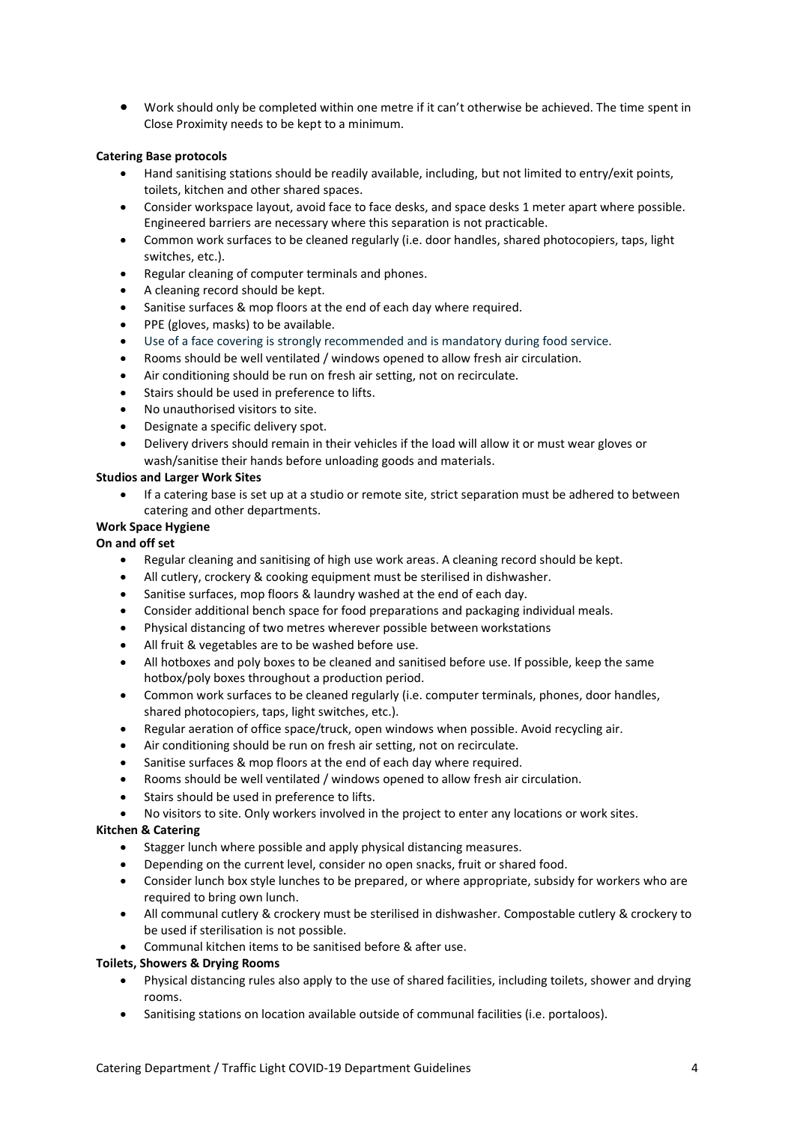• Work should only be completed within one metre if it can't otherwise be achieved. The time spent in Close Proximity needs to be kept to a minimum.

#### **Catering Base protocols**

- Hand sanitising stations should be readily available, including, but not limited to entry/exit points, toilets, kitchen and other shared spaces.
- Consider workspace layout, avoid face to face desks, and space desks 1 meter apart where possible. Engineered barriers are necessary where this separation is not practicable.
- Common work surfaces to be cleaned regularly (i.e. door handles, shared photocopiers, taps, light switches, etc.).
- Regular cleaning of computer terminals and phones.
- A cleaning record should be kept.
- Sanitise surfaces & mop floors at the end of each day where required.
- PPE (gloves, masks) to be available.
- Use of a face covering is strongly recommended and is mandatory during food service.
- Rooms should be well ventilated / windows opened to allow fresh air circulation.
- Air conditioning should be run on fresh air setting, not on recirculate.
- Stairs should be used in preference to lifts.
- No unauthorised visitors to site.
- Designate a specific delivery spot.
- Delivery drivers should remain in their vehicles if the load will allow it or must wear gloves or wash/sanitise their hands before unloading goods and materials.

#### **Studios and Larger Work Sites**

• If a catering base is set up at a studio or remote site, strict separation must be adhered to between catering and other departments.

#### **Work Space Hygiene**

#### **On and off set**

- Regular cleaning and sanitising of high use work areas. A cleaning record should be kept.
- All cutlery, crockery & cooking equipment must be sterilised in dishwasher.
- Sanitise surfaces, mop floors & laundry washed at the end of each day.
- Consider additional bench space for food preparations and packaging individual meals.
- Physical distancing of two metres wherever possible between workstations
- All fruit & vegetables are to be washed before use.
- All hotboxes and poly boxes to be cleaned and sanitised before use. If possible, keep the same hotbox/poly boxes throughout a production period.
- Common work surfaces to be cleaned regularly (i.e. computer terminals, phones, door handles, shared photocopiers, taps, light switches, etc.).
- Regular aeration of office space/truck, open windows when possible. Avoid recycling air.
- Air conditioning should be run on fresh air setting, not on recirculate.
- Sanitise surfaces & mop floors at the end of each day where required.
- Rooms should be well ventilated / windows opened to allow fresh air circulation.
- Stairs should be used in preference to lifts.
- No visitors to site. Only workers involved in the project to enter any locations or work sites.

#### **Kitchen & Catering**

- Stagger lunch where possible and apply physical distancing measures.
- Depending on the current level, consider no open snacks, fruit or shared food.
- Consider lunch box style lunches to be prepared, or where appropriate, subsidy for workers who are required to bring own lunch.
- All communal cutlery & crockery must be sterilised in dishwasher. Compostable cutlery & crockery to be used if sterilisation is not possible.
- Communal kitchen items to be sanitised before & after use.

#### **Toilets, Showers & Drying Rooms**

- Physical distancing rules also apply to the use of shared facilities, including toilets, shower and drying rooms.
- Sanitising stations on location available outside of communal facilities (i.e. portaloos).